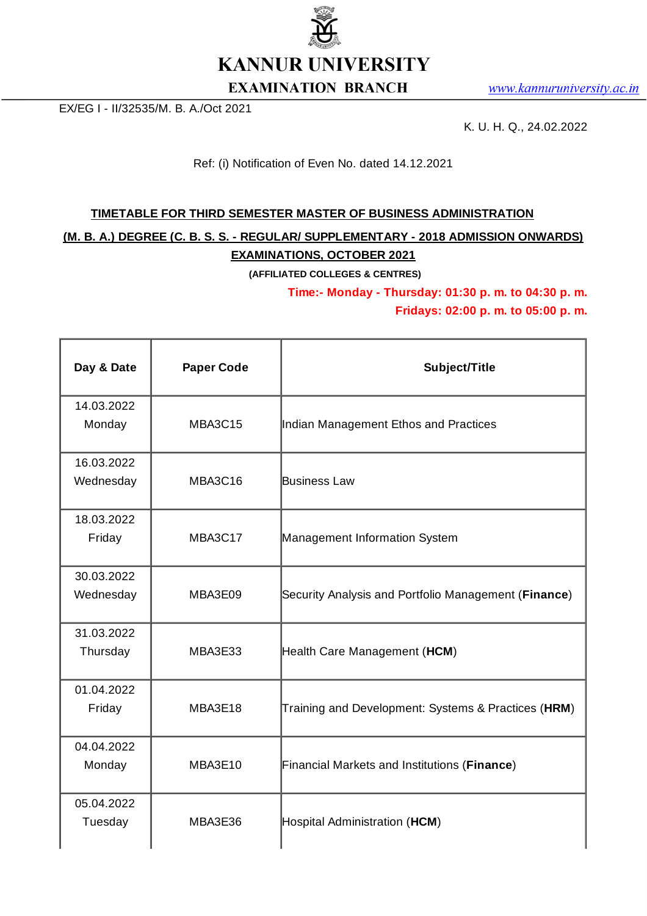

www.kannuruniversity.ac.in

EX/EG I - II/32535/M. B. A./Oct 2021

K. U. H. Q., 24.02.2022

Ref: (i) Notification of Even No. dated 14.12.2021

## <u>TIMETABLE FOR THIRD SEMESTER MASTER OF BUSINESS ADMINISTRATION</u>

**(M. B. A.) DEGREE (C. B. S. S. - REGULAR/ SUPPLEMENTARY - 2018 ADMISSION ONWARDS) EXAMINATIONS, OCTOBER 2021**

**(AFFILIATED COLLEGES & CENTRES)**

**Time:- Monday - Thursday: 01:30 p. m. to 04:30 p. m.**

**Fridays: 02:00 p. m. to 05:00 p. m.**

| Day & Date              | <b>Paper Code</b> | Subject/Title                                        |
|-------------------------|-------------------|------------------------------------------------------|
| 14.03.2022<br>Monday    | MBA3C15           | Indian Management Ethos and Practices                |
| 16.03.2022<br>Wednesday | MBA3C16           | Business Law                                         |
| 18.03.2022<br>Friday    | MBA3C17           | Management Information System                        |
| 30.03.2022<br>Wednesday | MBA3E09           | Security Analysis and Portfolio Management (Finance) |
| 31.03.2022<br>Thursday  | MBA3E33           | Health Care Management (HCM)                         |
| 01.04.2022<br>Friday    | MBA3E18           | Training and Development: Systems & Practices (HRM)  |
| 04.04.2022<br>Monday    | MBA3E10           | Financial Markets and Institutions (Finance)         |
| 05.04.2022<br>Tuesday   | MBA3E36           | Hospital Administration (HCM)                        |